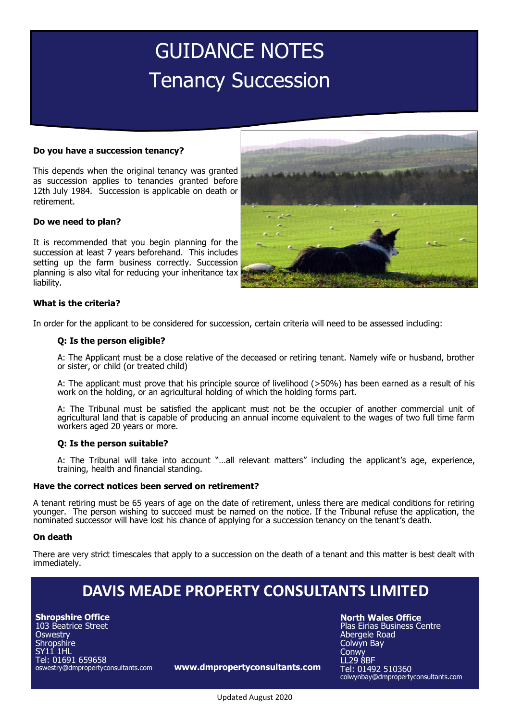# GUIDANCE NOTES Tenancy Succession

#### **Do you have a succession tenancy?**

This depends when the original tenancy was granted as succession applies to tenancies granted before 12th July 1984. Succession is applicable on death or retirement.

# **Do we need to plan?**

It is recommended that you begin planning for the succession at least 7 years beforehand. This includes setting up the farm business correctly. Succession planning is also vital for reducing your inheritance tax liability.



# **What is the criteria?**

In order for the applicant to be considered for succession, certain criteria will need to be assessed including:

# **Q: Is the person eligible?**

A: The Applicant must be a close relative of the deceased or retiring tenant. Namely wife or husband, brother or sister, or child (or treated child)

A: The applicant must prove that his principle source of livelihood (>50%) has been earned as a result of his work on the holding, or an agricultural holding of which the holding forms part.

A: The Tribunal must be satisfied the applicant must not be the occupier of another commercial unit of agricultural land that is capable of producing an annual income equivalent to the wages of two full time farm workers aged 20 years or more.

#### **Q: Is the person suitable?**

A: The Tribunal will take into account "…all relevant matters" including the applicant's age, experience, training, health and financial standing.

#### **Have the correct notices been served on retirement?**

A tenant retiring must be 65 years of age on the date of retirement, unless there are medical conditions for retiring younger. The person wishing to succeed must be named on the notice. If the Tribunal refuse the application, the nominated successor will have lost his chance of applying for a succession tenancy on the tenant's death.

# **On death**

There are very strict timescales that apply to a succession on the death of a tenant and this matter is best dealt with immediately.

# **DAVIS MEADE PROPERTY CONSULTANTS LIMITED**

**Shropshire Office** 103 Beatrice Street **Oswestry** Shropshire SY11 1HL Tel: 01691 659658 oswestry@dmpropertyconsultants.com

**www.dmpropertyconsultants.com**

**North Wales Office**

Plas Eirias Business Centre Abergele Road Colwyn Bay **Conwy** LL29 8BF Tel: 01492 510360 colwynbay@dmpropertyconsultants.com